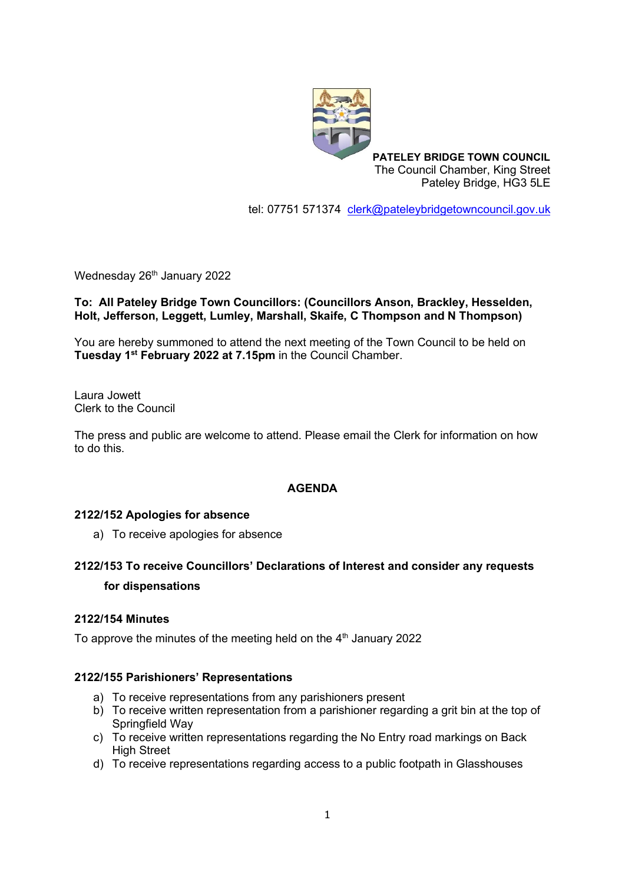

**PATELEY BRIDGE TOWN COUNCIL** The Council Chamber, King Street Pateley Bridge, HG3 5LE

tel: 07751 571374 [clerk@pateleybridgetowncouncil.gov.uk](mailto:clerk@pateleybridgetowncouncil.gov.uk)

Wednesday 26<sup>th</sup> January 2022

### **To: All Pateley Bridge Town Councillors: (Councillors Anson, Brackley, Hesselden, Holt, Jefferson, Leggett, Lumley, Marshall, Skaife, C Thompson and N Thompson)**

You are hereby summoned to attend the next meeting of the Town Council to be held on **Tuesday 1 st February 2022 at 7.15pm** in the Council Chamber.

Laura Jowett Clerk to the Council

The press and public are welcome to attend. Please email the Clerk for information on how to do this.

### **AGENDA**

### **2122/152 Apologies for absence**

a) To receive apologies for absence

# **2122/153 To receive Councillors' Declarations of Interest and consider any requests for dispensations**

### **2122/154 Minutes**

To approve the minutes of the meeting held on the  $4^{\text{th}}$  January 2022

### **2122/155 Parishioners' Representations**

- a) To receive representations from any parishioners present
- b) To receive written representation from a parishioner regarding a grit bin at the top of Springfield Way
- c) To receive written representations regarding the No Entry road markings on Back High Street
- d) To receive representations regarding access to a public footpath in Glasshouses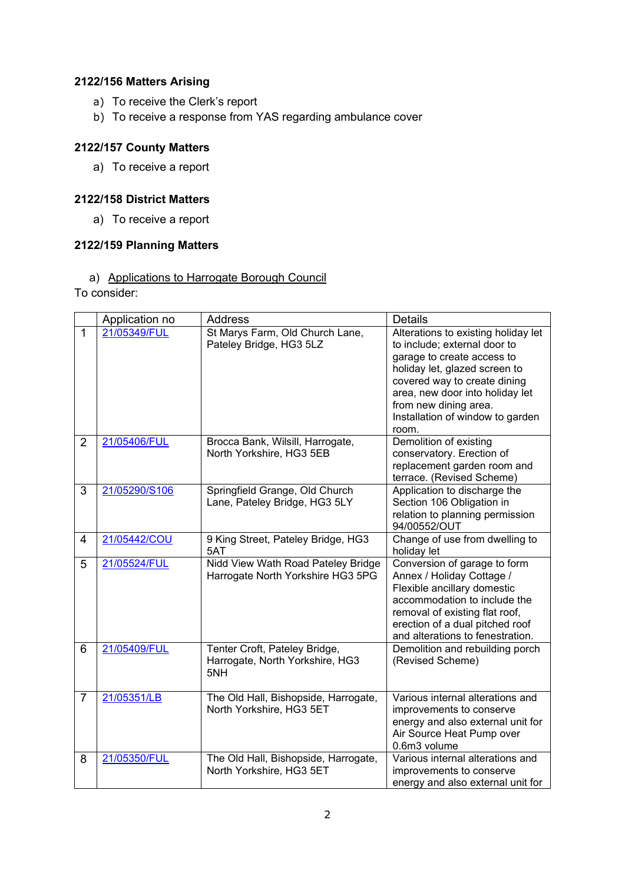# **2122/156 Matters Arising**

- a) To receive the Clerk's report
- b) To receive a response from YAS regarding ambulance cover

### **2122/157 County Matters**

a) To receive a report

### **2122/158 District Matters**

a) To receive a report

### **2122/159 Planning Matters**

### a) Applications to Harrogate Borough Council

To consider:

|                | Application no | <b>Address</b>                                                          | <b>Details</b>                                                                                                                                                                                                                                                              |
|----------------|----------------|-------------------------------------------------------------------------|-----------------------------------------------------------------------------------------------------------------------------------------------------------------------------------------------------------------------------------------------------------------------------|
| $\mathbf{1}$   | 21/05349/FUL   | St Marys Farm, Old Church Lane,<br>Pateley Bridge, HG3 5LZ              | Alterations to existing holiday let<br>to include; external door to<br>garage to create access to<br>holiday let, glazed screen to<br>covered way to create dining<br>area, new door into holiday let<br>from new dining area.<br>Installation of window to garden<br>room. |
| $\overline{2}$ | 21/05406/FUL   | Brocca Bank, Wilsill, Harrogate,<br>North Yorkshire, HG3 5EB            | Demolition of existing<br>conservatory. Erection of<br>replacement garden room and<br>terrace. (Revised Scheme)                                                                                                                                                             |
| 3              | 21/05290/S106  | Springfield Grange, Old Church<br>Lane, Pateley Bridge, HG3 5LY         | Application to discharge the<br>Section 106 Obligation in<br>relation to planning permission<br>94/00552/OUT                                                                                                                                                                |
| $\overline{4}$ | 21/05442/COU   | 9 King Street, Pateley Bridge, HG3<br>5AT                               | Change of use from dwelling to<br>holiday let                                                                                                                                                                                                                               |
| 5              | 21/05524/FUL   | Nidd View Wath Road Pateley Bridge<br>Harrogate North Yorkshire HG3 5PG | Conversion of garage to form<br>Annex / Holiday Cottage /<br>Flexible ancillary domestic<br>accommodation to include the<br>removal of existing flat roof,<br>erection of a dual pitched roof<br>and alterations to fenestration.                                           |
| 6              | 21/05409/FUL   | Tenter Croft, Pateley Bridge,<br>Harrogate, North Yorkshire, HG3<br>5NH | Demolition and rebuilding porch<br>(Revised Scheme)                                                                                                                                                                                                                         |
| $\overline{7}$ | 21/05351/LB    | The Old Hall, Bishopside, Harrogate,<br>North Yorkshire, HG3 5ET        | Various internal alterations and<br>improvements to conserve<br>energy and also external unit for<br>Air Source Heat Pump over<br>0.6m3 volume                                                                                                                              |
| 8              | 21/05350/FUL   | The Old Hall, Bishopside, Harrogate,<br>North Yorkshire, HG3 5ET        | Various internal alterations and<br>improvements to conserve<br>energy and also external unit for                                                                                                                                                                           |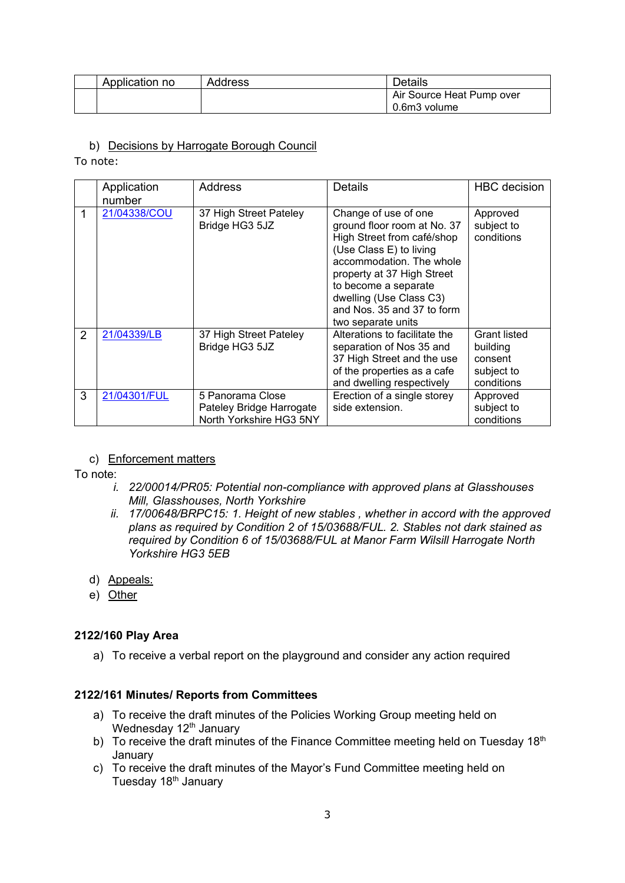| Application no | <b>Address</b> | <b>Details</b>            |
|----------------|----------------|---------------------------|
|                |                | Air Source Heat Pump over |
|                |                | 0.6m3 volume              |

#### b) Decisions by Harrogate Borough Council

To note:

|                | Application<br>number | Address                                                                 | Details                                                                                                                                                                                                                                                                       | <b>HBC</b> decision                                                    |
|----------------|-----------------------|-------------------------------------------------------------------------|-------------------------------------------------------------------------------------------------------------------------------------------------------------------------------------------------------------------------------------------------------------------------------|------------------------------------------------------------------------|
|                | 21/04338/COU          | 37 High Street Pateley<br>Bridge HG3 5JZ                                | Change of use of one<br>ground floor room at No. 37<br>High Street from café/shop<br>(Use Class E) to living<br>accommodation. The whole<br>property at 37 High Street<br>to become a separate<br>dwelling (Use Class C3)<br>and Nos. 35 and 37 to form<br>two separate units | Approved<br>subject to<br>conditions                                   |
| $\overline{2}$ | 21/04339/LB           | 37 High Street Pateley<br>Bridge HG3 5JZ                                | Alterations to facilitate the<br>separation of Nos 35 and<br>37 High Street and the use<br>of the properties as a cafe<br>and dwelling respectively                                                                                                                           | <b>Grant listed</b><br>building<br>consent<br>subject to<br>conditions |
| 3              | 21/04301/FUL          | 5 Panorama Close<br>Pateley Bridge Harrogate<br>North Yorkshire HG3 5NY | Erection of a single storey<br>side extension.                                                                                                                                                                                                                                | Approved<br>subject to<br>conditions                                   |

### c) Enforcement matters

To note:

- *i. 22/00014/PR05: Potential non-compliance with approved plans at Glasshouses Mill, Glasshouses, North Yorkshire*
- *ii. 17/00648/BRPC15: 1. Height of new stables , whether in accord with the approved plans as required by Condition 2 of 15/03688/FUL. 2. Stables not dark stained as required by Condition 6 of 15/03688/FUL at Manor Farm Wilsill Harrogate North Yorkshire HG3 5EB*
- d) Appeals:
- e) Other

### **2122/160 Play Area**

a) To receive a verbal report on the playground and consider any action required

#### **2122/161 Minutes/ Reports from Committees**

- a) To receive the draft minutes of the Policies Working Group meeting held on Wednesday 12<sup>th</sup> January
- b) To receive the draft minutes of the Finance Committee meeting held on Tuesday 18<sup>th</sup> January
- c) To receive the draft minutes of the Mayor's Fund Committee meeting held on Tuesday 18<sup>th</sup> January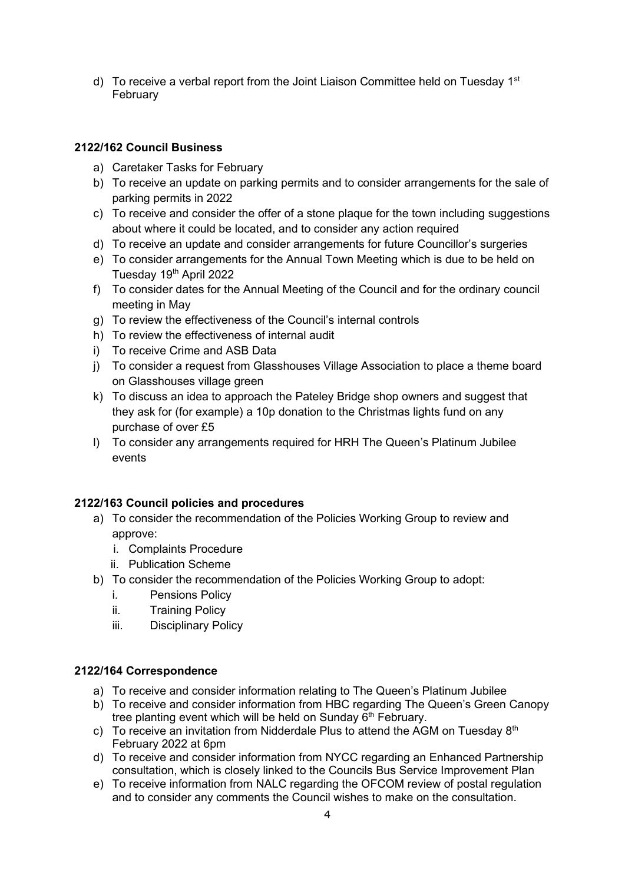d) To receive a verbal report from the Joint Liaison Committee held on Tuesday 1<sup>st</sup> February

# **2122/162 Council Business**

- a) Caretaker Tasks for February
- b) To receive an update on parking permits and to consider arrangements for the sale of parking permits in 2022
- c) To receive and consider the offer of a stone plaque for the town including suggestions about where it could be located, and to consider any action required
- d) To receive an update and consider arrangements for future Councillor's surgeries
- e) To consider arrangements for the Annual Town Meeting which is due to be held on Tuesday 19<sup>th</sup> April 2022
- f) To consider dates for the Annual Meeting of the Council and for the ordinary council meeting in May
- g) To review the effectiveness of the Council's internal controls
- h) To review the effectiveness of internal audit
- i) To receive Crime and ASB Data
- j) To consider a request from Glasshouses Village Association to place a theme board on Glasshouses village green
- k) To discuss an idea to approach the Pateley Bridge shop owners and suggest that they ask for (for example) a 10p donation to the Christmas lights fund on any purchase of over £5
- l) To consider any arrangements required for HRH The Queen's Platinum Jubilee events

# **2122/163 Council policies and procedures**

- a) To consider the recommendation of the Policies Working Group to review and approve:
	- i. Complaints Procedure
	- ii. Publication Scheme
- b) To consider the recommendation of the Policies Working Group to adopt:
	- i. Pensions Policy
	- ii. Training Policy
	- iii. Disciplinary Policy

### **2122/164 Correspondence**

- a) To receive and consider information relating to The Queen's Platinum Jubilee
- b) To receive and consider information from HBC regarding The Queen's Green Canopy tree planting event which will be held on Sunday  $6<sup>th</sup>$  February.
- c) To receive an invitation from Nidderdale Plus to attend the AGM on Tuesday  $8<sup>th</sup>$ February 2022 at 6pm
- d) To receive and consider information from NYCC regarding an Enhanced Partnership consultation, which is closely linked to the Councils Bus Service Improvement Plan
- e) To receive information from NALC regarding the OFCOM review of postal regulation and to consider any comments the Council wishes to make on the consultation.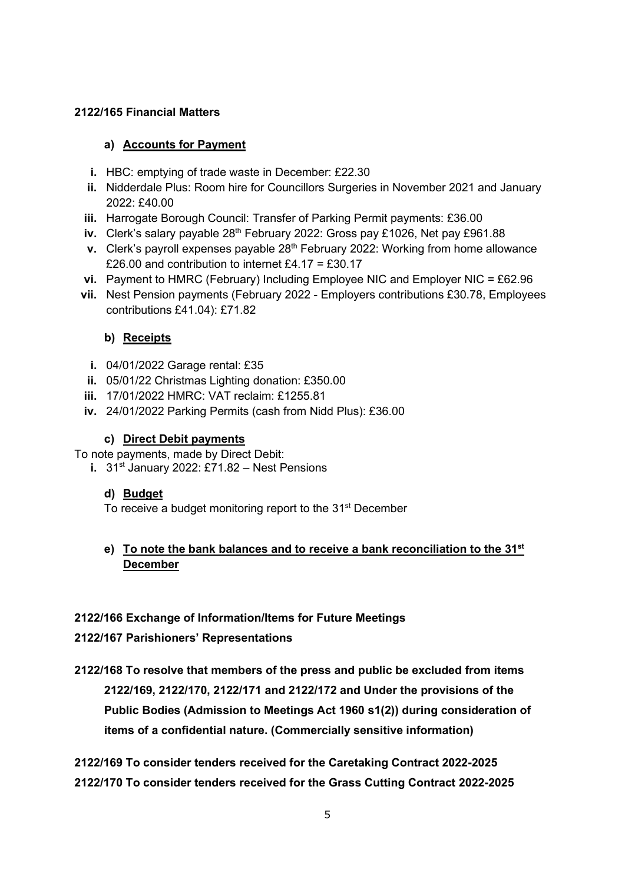# **2122/165 Financial Matters**

### **a) Accounts for Payment**

- **i.** HBC: emptying of trade waste in December: £22.30
- **ii.** Nidderdale Plus: Room hire for Councillors Surgeries in November 2021 and January 2022: £40.00
- **iii.** Harrogate Borough Council: Transfer of Parking Permit payments: £36.00
- **iv.** Clerk's salary payable 28<sup>th</sup> February 2022: Gross pay £1026, Net pay £961.88
- **v.** Clerk's payroll expenses payable 28<sup>th</sup> February 2022: Working from home allowance £26.00 and contribution to internet £4.17 = £30.17
- **vi.** Payment to HMRC (February) Including Employee NIC and Employer NIC = £62.96
- **vii.** Nest Pension payments (February 2022 Employers contributions £30.78, Employees contributions £41.04): £71.82

# **b) Receipts**

- **i.** 04/01/2022 Garage rental: £35
- **ii.** 05/01/22 Christmas Lighting donation: £350.00
- **iii.** 17/01/2022 HMRC: VAT reclaim: £1255.81
- **iv.** 24/01/2022 Parking Permits (cash from Nidd Plus): £36.00

### **c) Direct Debit payments**

To note payments, made by Direct Debit:

**i.** 31<sup>st</sup> January 2022: £71.82 – Nest Pensions

# **d) Budget**

To receive a budget monitoring report to the 31<sup>st</sup> December

# **e) To note the bank balances and to receive a bank reconciliation to the 31st December**

# **2122/166 Exchange of Information/Items for Future Meetings**

# **2122/167 Parishioners' Representations**

**2122/168 To resolve that members of the press and public be excluded from items 2122/169, 2122/170, 2122/171 and 2122/172 and Under the provisions of the Public Bodies (Admission to Meetings Act 1960 s1(2)) during consideration of items of a confidential nature. (Commercially sensitive information)**

**2122/169 To consider tenders received for the Caretaking Contract 2022-2025 2122/170 To consider tenders received for the Grass Cutting Contract 2022-2025**